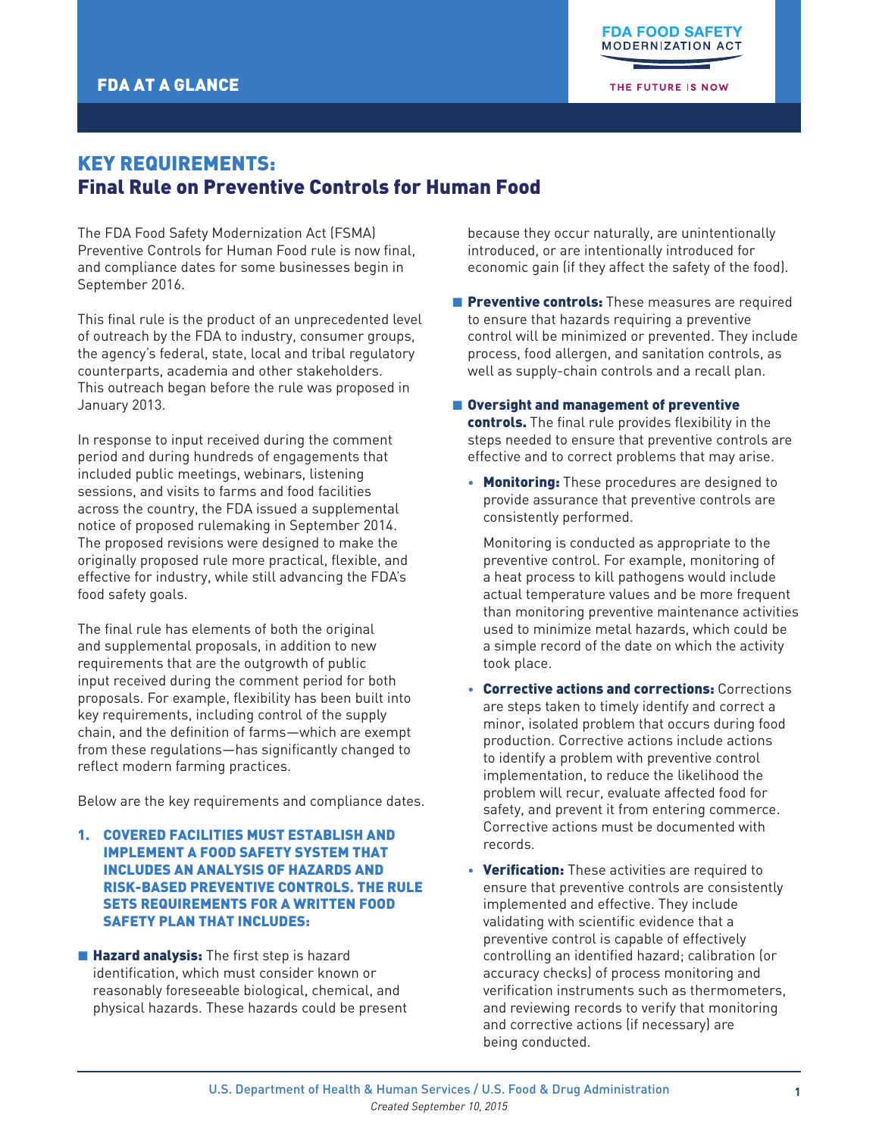THE FUTURE IS NOW

# KEY REQUIREMENTS: Final Rule on Preventive Controls for Human Food

The FDA Food Safety Modernization Act (FSMA) Preventive Controls for Human Food rule is now final, and compliance dates for some businesses begin in September 2016.

This final rule is the product of an unprecedented level of outreach by the FDA to industry, consumer groups, the agency's federal, state, local and tribal regulatory counterparts, academia and other stakeholders. This outreach began before the rule was proposed in January 2013.

In response to input received during the comment period and during hundreds of engagements that included public meetings, webinars, listening sessions, and visits to farms and food facilities across the country, the FDA issued a supplemental notice of proposed rulemaking in September 2014. The proposed revisions were designed to make the originally proposed rule more practical, flexible, and effective for industry, while still advancing the FDA's food safety goals.

The final rule has elements of both the original and supplemental proposals, in addition to new requirements that are the outgrowth of public input received during the comment period for both proposals. For example, flexibility has been built into key requirements, including control of the supply chain, and the definition of farms—which are exempt from these regulations—has significantly changed to reflect modern farming practices.

Below are the key requirements and compliance dates.

- 1. COVERED FACILITIES MUST ESTABLISH AND IMPLEMENT A FOOD SAFETY SYSTEM THAT INCLUDES AN ANALYSIS OF HAZARDS AND RISK-BASED PREVENTIVE CONTROLS. THE RULE SETS REQUIREMENTS FOR A WRITTEN FOOD SAFETY PLAN THAT INCLUDES:
- **Hazard analysis:** The first step is hazard identification, which must consider known or reasonably foreseeable biological, chemical, and physical hazards. These hazards could be present

because they occur naturally, are unintentionally introduced, or are intentionally introduced for economic gain (if they affect the safety of the food).

- **E** Preventive controls: These measures are required to ensure that hazards requiring a preventive control will be minimized or prevented. They include process, food allergen, and sanitation controls, as well as supply-chain controls and a recall plan.
- Oversight and management of preventive

controls. The final rule provides flexibility in the steps needed to ensure that preventive controls are effective and to correct problems that may arise.

• Monitoring: These procedures are designed to provide assurance that preventive controls are consistently performed.

Monitoring is conducted as appropriate to the preventive control. For example, monitoring of a heat process to kill pathogens would include actual temperature values and be more frequent than monitoring preventive maintenance activities used to minimize metal hazards, which could be a simple record of the date on which the activity took place.

- Corrective actions and corrections: Corrections are steps taken to timely identify and correct a minor, isolated problem that occurs during food production. Corrective actions include actions to identify a problem with preventive control implementation, to reduce the likelihood the problem will recur, evaluate affected food for safety, and prevent it from entering commerce. Corrective actions must be documented with records.
- Verification: These activities are required to ensure that preventive controls are consistently implemented and effective. They include validating with scientific evidence that a preventive control is capable of effectively controlling an identified hazard; calibration (or accuracy checks) of process monitoring and verification instruments such as thermometers, and reviewing records to verify that monitoring and corrective actions (if necessary) are being conducted.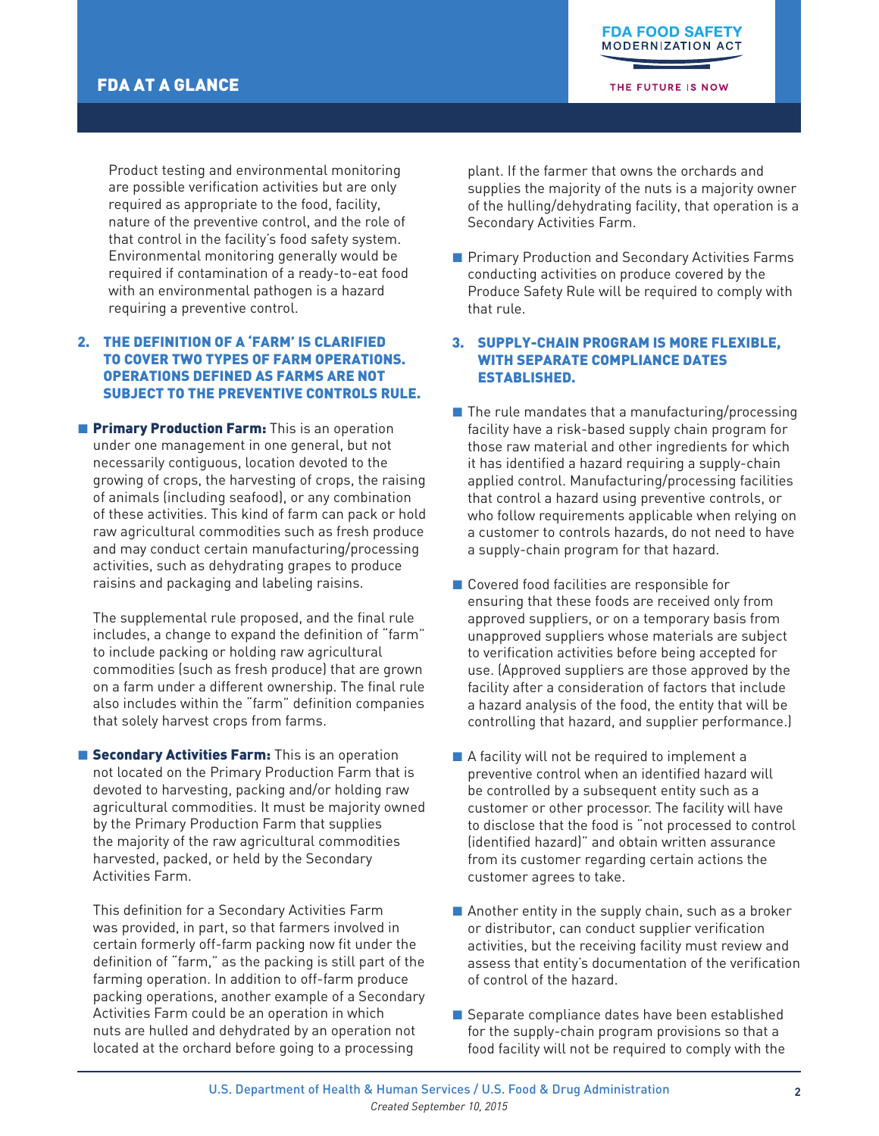THE FUTURE IS NOW

Product testing and environmental monitoring are possible verification activities but are only required as appropriate to the food, facility, nature of the preventive control, and the role of that control in the facility's food safety system. Environmental monitoring generally would be required if contamination of a ready-to-eat food with an environmental pathogen is a hazard requiring a preventive control.

## 2. THE DEFINITION OF A 'FARM' IS CLARIFIED TO COVER TWO TYPES OF FARM OPERATIONS. OPERATIONS DEFINED AS FARMS ARE NOT SUBJECT TO THE PREVENTIVE CONTROLS RULE.

**Firmary Production Farm:** This is an operation under one management in one general, but not necessarily contiguous, location devoted to the growing of crops, the harvesting of crops, the raising of animals (including seafood), or any combination of these activities. This kind of farm can pack or hold raw agricultural commodities such as fresh produce and may conduct certain manufacturing/processing activities, such as dehydrating grapes to produce raisins and packaging and labeling raisins.

The supplemental rule proposed, and the final rule includes, a change to expand the definition of "farm" to include packing or holding raw agricultural commodities (such as fresh produce) that are grown on a farm under a different ownership. The final rule also includes within the "farm" definition companies that solely harvest crops from farms.

**E** Secondary Activities Farm: This is an operation not located on the Primary Production Farm that is devoted to harvesting, packing and/or holding raw agricultural commodities. It must be majority owned by the Primary Production Farm that supplies the majority of the raw agricultural commodities harvested, packed, or held by the Secondary Activities Farm.

This definition for a Secondary Activities Farm was provided, in part, so that farmers involved in certain formerly off-farm packing now fit under the definition of "farm," as the packing is still part of the farming operation. In addition to off-farm produce packing operations, another example of a Secondary Activities Farm could be an operation in which nuts are hulled and dehydrated by an operation not located at the orchard before going to a processing

plant. If the farmer that owns the orchards and supplies the majority of the nuts is a majority owner of the hulling/dehydrating facility, that operation is a Secondary Activities Farm.

■ Primary Production and Secondary Activities Farms conducting activities on produce covered by the Produce Safety Rule will be required to comply with that rule.

#### 3. SUPPLY-CHAIN PROGRAM IS MORE FLEXIBLE, WITH SEPARATE COMPLIANCE DATES ESTABLISHED.

- $\blacksquare$  The rule mandates that a manufacturing/processing facility have a risk-based supply chain program for those raw material and other ingredients for which it has identified a hazard requiring a supply-chain applied control. Manufacturing/processing facilities that control a hazard using preventive controls, or who follow requirements applicable when relying on a customer to controls hazards, do not need to have a supply-chain program for that hazard.
- Covered food facilities are responsible for ensuring that these foods are received only from approved suppliers, or on a temporary basis from unapproved suppliers whose materials are subject to verification activities before being accepted for use. (Approved suppliers are those approved by the facility after a consideration of factors that include a hazard analysis of the food, the entity that will be controlling that hazard, and supplier performance.)
- $\blacksquare$  A facility will not be required to implement a preventive control when an identified hazard will be controlled by a subsequent entity such as a customer or other processor. The facility will have to disclose that the food is "not processed to control (identified hazard)" and obtain written assurance from its customer regarding certain actions the customer agrees to take.
- $\blacksquare$  Another entity in the supply chain, such as a broker or distributor, can conduct supplier verification activities, but the receiving facility must review and assess that entity's documentation of the verification of control of the hazard.
- $\blacksquare$  Separate compliance dates have been established for the supply-chain program provisions so that a food facility will not be required to comply with the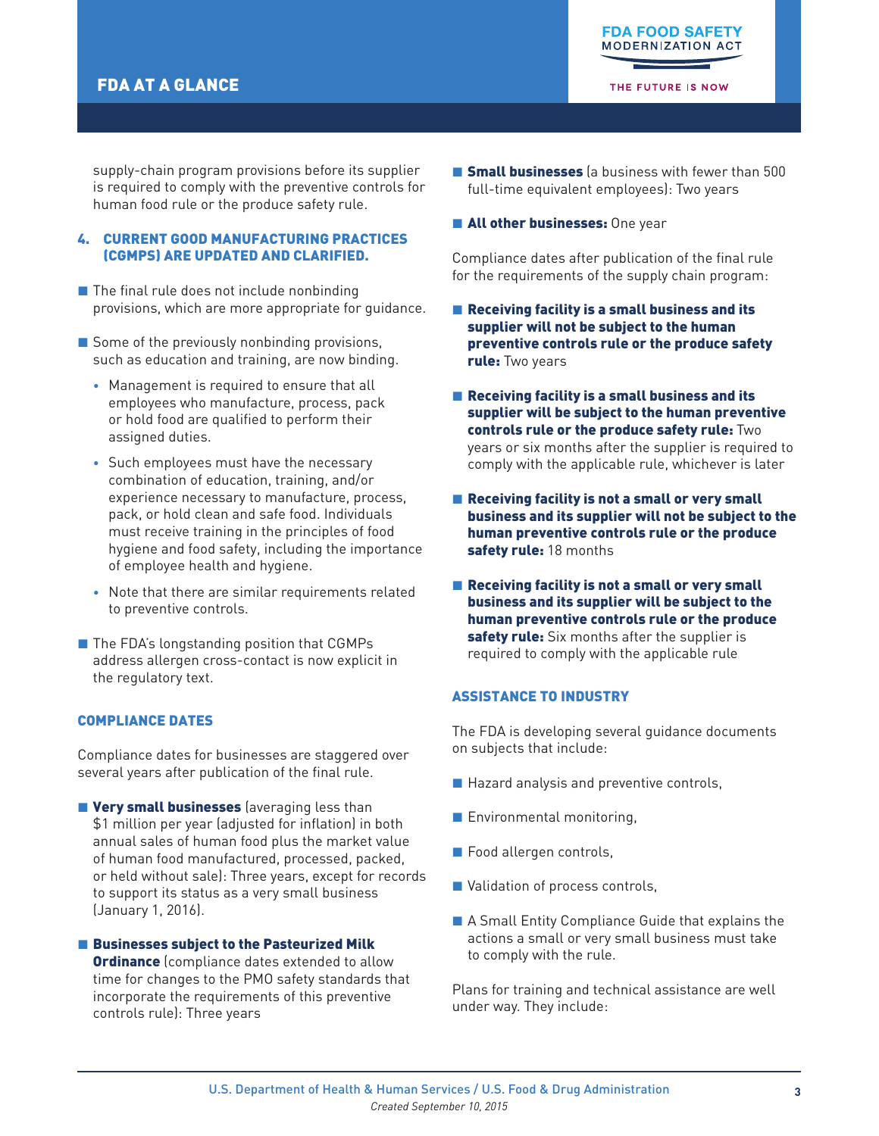## FDA AT A GLANCE

THE FUTURE IS NOW

supply-chain program provisions before its supplier is required to comply with the preventive controls for human food rule or the produce safety rule.

### 4. CURRENT GOOD MANUFACTURING PRACTICES (CGMPS) ARE UPDATED AND CLARIFIED.

- $\blacksquare$  The final rule does not include nonbinding provisions, which are more appropriate for guidance.
- $\blacksquare$  Some of the previously nonbinding provisions, such as education and training, are now binding.
	- Management is required to ensure that all employees who manufacture, process, pack or hold food are qualified to perform their assigned duties.
	- Such employees must have the necessary combination of education, training, and/or experience necessary to manufacture, process, pack, or hold clean and safe food. Individuals must receive training in the principles of food hygiene and food safety, including the importance of employee health and hygiene.
	- Note that there are similar requirements related to preventive controls.
- The FDA's longstanding position that CGMPs address allergen cross-contact is now explicit in the regulatory text.

### COMPLIANCE DATES

Compliance dates for businesses are staggered over several years after publication of the final rule.

**Very small businesses** (averaging less than \$1 million per year (adjusted for inflation) in both annual sales of human food plus the market value of human food manufactured, processed, packed, or held without sale): Three years, except for records to support its status as a very small business (January 1, 2016).

#### ■ Businesses subject to the Pasteurized Milk

**Ordinance** (compliance dates extended to allow time for changes to the PMO safety standards that incorporate the requirements of this preventive controls rule): Three years

- **E** Small businesses (a business with fewer than 500 full-time equivalent employees): Two years
- **E All other businesses:** One year

Compliance dates after publication of the final rule for the requirements of the supply chain program:

- $\blacksquare$  Receiving facility is a small business and its supplier will not be subject to the human preventive controls rule or the produce safety rule: Two years
- Receiving facility is a small business and its supplier will be subject to the human preventive controls rule or the produce safety rule: Two years or six months after the supplier is required to comply with the applicable rule, whichever is later
- Receiving facility is not a small or very small business and its supplier will not be subject to the human preventive controls rule or the produce safety rule: 18 months
- Receiving facility is not a small or very small business and its supplier will be subject to the human preventive controls rule or the produce safety rule: Six months after the supplier is required to comply with the applicable rule

## ASSISTANCE TO INDUSTRY

The FDA is developing several guidance documents on subjects that include:

- Hazard analysis and preventive controls,
- Environmental monitoring,
- Food allergen controls,
- Validation of process controls,
- A Small Entity Compliance Guide that explains the actions a small or very small business must take to comply with the rule.

Plans for training and technical assistance are well under way. They include: